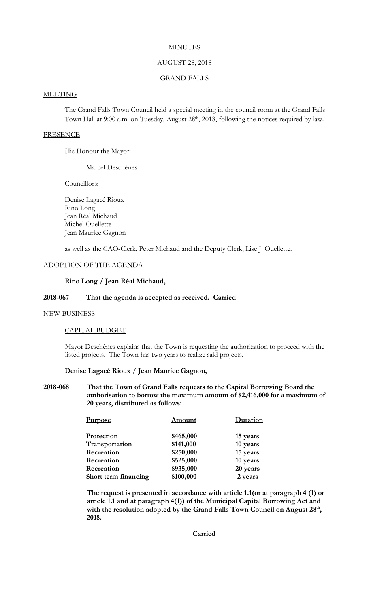## **MINUTES**

### AUGUST 28, 2018

#### GRAND FALLS

# **MEETING**

The Grand Falls Town Council held a special meeting in the council room at the Grand Falls Town Hall at 9:00 a.m. on Tuesday, August 28<sup>th</sup>, 2018, following the notices required by law.

#### **PRESENCE**

His Honour the Mayor:

Marcel Deschênes

Councillors:

Denise Lagacé Rioux Rino Long Jean Réal Michaud Michel Ouellette Jean Maurice Gagnon

as well as the CAO-Clerk, Peter Michaud and the Deputy Clerk, Lise J. Ouellette.

### ADOPTION OF THE AGENDA

## **Rino Long / Jean Réal Michaud,**

## **2018-067 That the agenda is accepted as received. Carried**

#### NEW BUSINESS

#### CAPITAL BUDGET

Mayor Deschênes explains that the Town is requesting the authorization to proceed with the listed projects. The Town has two years to realize said projects.

### **Denise Lagacé Rioux / Jean Maurice Gagnon,**

## **2018-068 That the Town of Grand Falls requests to the Capital Borrowing Board the authorisation to borrow the maximum amount of \$2,416,000 for a maximum of 20 years, distributed as follows:**

| <b>Purpose</b>       | <b>Amount</b> | Duration |
|----------------------|---------------|----------|
| Protection           | \$465,000     | 15 years |
| Transportation       | \$141,000     | 10 years |
| Recreation           | \$250,000     | 15 years |
| Recreation           | \$525,000     | 10 years |
| Recreation           | \$935,000     | 20 years |
| Short term financing | \$100,000     | 2 years  |

**The request is presented in accordance with article 1.1(or at paragraph 4 (1) or article 1.1 and at paragraph 4(1)) of the Municipal Capital Borrowing Act and with the resolution adopted by the Grand Falls Town Council on August 28th , 2018.** 

**Carried**